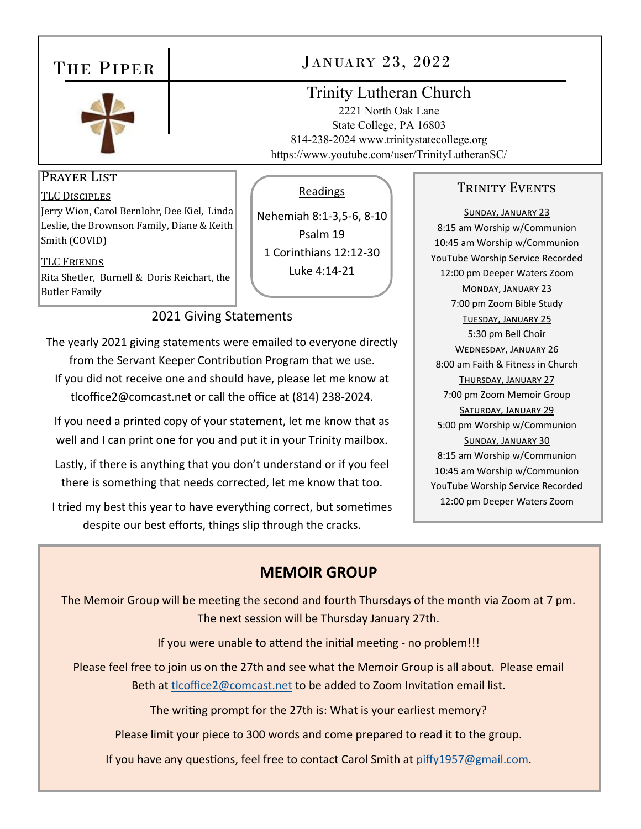# THE PIPER



# JANUARY 23, 2022

Readings

Nehemiah 8:1‐3,5‐6, 8‐10 Psalm 19 1 Corinthians 12:12‐30 Luke 4:14‐21

# Trinity Lutheran Church

2221 North Oak Lane State College, PA 16803 814-238-2024 www.trinitystatecollege.org https://www.youtube.com/user/TrinityLutheranSC/

## Prayer List

TLC DISCIPLES Jerry Wion, Carol Bernlohr, Dee Kiel, Linda Leslie, the Brownson Family, Diane & Keith Smith (COVID)

TLC FRIENDS Rita Shetler, Burnell & Doris Reichart, the Butler Family

#### 2021 Giving Statements

The yearly 2021 giving statements were emailed to everyone directly from the Servant Keeper Contribution Program that we use. If you did not receive one and should have, please let me know at tlcoffice2@comcast.net or call the office at (814) 238‐2024.

If you need a printed copy of your statement, let me know that as well and I can print one for you and put it in your Trinity mailbox.

Lastly, if there is anything that you don't understand or if you feel there is something that needs corrected, let me know that too.

I tried my best this year to have everything correct, but sometimes despite our best efforts, things slip through the cracks.

## TRINITY EVENTS

SUNDAY, JANUARY 23 8:15 am Worship w/Communion 10:45 am Worship w/Communion YouTube Worship Service Recorded 12:00 pm Deeper Waters Zoom MONDAY, JANUARY 23 7:00 pm Zoom Bible Study TUESDAY, JANUARY 25 5:30 pm Bell Choir WEDNESDAY, JANUARY 26 8:00 am Faith & Fitness in Church THURSDAY, JANUARY 27 7:00 pm Zoom Memoir Group SATURDAY, JANUARY 29 5:00 pm Worship w/Communion SUNDAY, JANUARY 30 8:15 am Worship w/Communion 10:45 am Worship w/Communion YouTube Worship Service Recorded 12:00 pm Deeper Waters Zoom

# **MEMOIR GROUP**

The Memoir Group will be meeting the second and fourth Thursdays of the month via Zoom at 7 pm. The next session will be Thursday January 27th.

If you were unable to attend the initial meeting - no problem!!!

Please feel free to join us on the 27th and see what the Memoir Group is all about. Please email Beth at tlcoffice2@comcast.net to be added to Zoom Invitation email list.

The writing prompt for the 27th is: What is your earliest memory?

Please limit your piece to 300 words and come prepared to read it to the group.

If you have any questions, feel free to contact Carol Smith at piffy1957@gmail.com.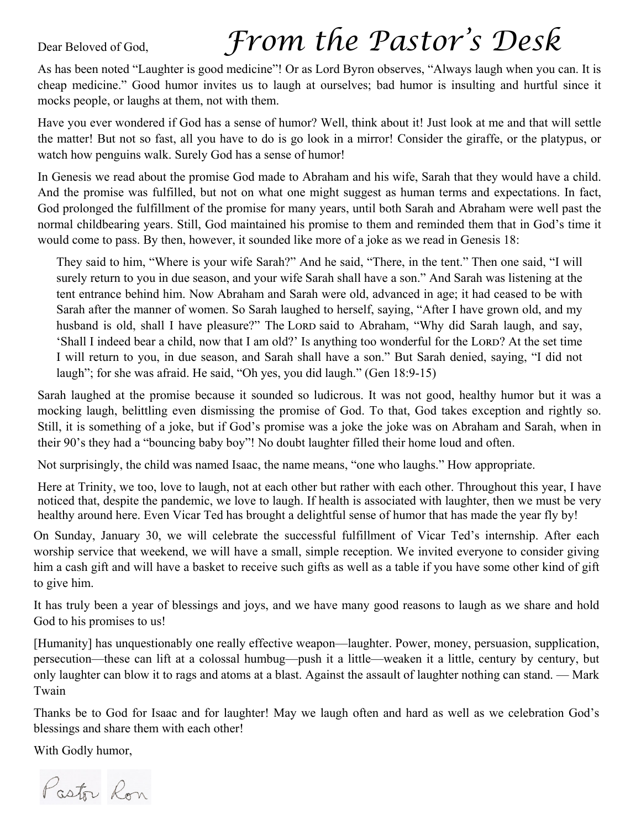# Dear Beloved of God, *From the Pastor's Desk*

As has been noted "Laughter is good medicine"! Or as Lord Byron observes, "Always laugh when you can. It is cheap medicine." Good humor invites us to laugh at ourselves; bad humor is insulting and hurtful since it mocks people, or laughs at them, not with them.

Have you ever wondered if God has a sense of humor? Well, think about it! Just look at me and that will settle the matter! But not so fast, all you have to do is go look in a mirror! Consider the giraffe, or the platypus, or watch how penguins walk. Surely God has a sense of humor!

In Genesis we read about the promise God made to Abraham and his wife, Sarah that they would have a child. And the promise was fulfilled, but not on what one might suggest as human terms and expectations. In fact, God prolonged the fulfillment of the promise for many years, until both Sarah and Abraham were well past the normal childbearing years. Still, God maintained his promise to them and reminded them that in God's time it would come to pass. By then, however, it sounded like more of a joke as we read in Genesis 18:

They said to him, "Where is your wife Sarah?" And he said, "There, in the tent." Then one said, "I will surely return to you in due season, and your wife Sarah shall have a son." And Sarah was listening at the tent entrance behind him. Now Abraham and Sarah were old, advanced in age; it had ceased to be with Sarah after the manner of women. So Sarah laughed to herself, saying, "After I have grown old, and my husband is old, shall I have pleasure?" The LORD said to Abraham, "Why did Sarah laugh, and say, 'Shall I indeed bear a child, now that I am old?' Is anything too wonderful for the LORD? At the set time I will return to you, in due season, and Sarah shall have a son." But Sarah denied, saying, "I did not laugh"; for she was afraid. He said, "Oh yes, you did laugh." (Gen 18:9-15)

Sarah laughed at the promise because it sounded so ludicrous. It was not good, healthy humor but it was a mocking laugh, belittling even dismissing the promise of God. To that, God takes exception and rightly so. Still, it is something of a joke, but if God's promise was a joke the joke was on Abraham and Sarah, when in their 90's they had a "bouncing baby boy"! No doubt laughter filled their home loud and often.

Not surprisingly, the child was named Isaac, the name means, "one who laughs." How appropriate.

Here at Trinity, we too, love to laugh, not at each other but rather with each other. Throughout this year, I have noticed that, despite the pandemic, we love to laugh. If health is associated with laughter, then we must be very healthy around here. Even Vicar Ted has brought a delightful sense of humor that has made the year fly by!

On Sunday, January 30, we will celebrate the successful fulfillment of Vicar Ted's internship. After each worship service that weekend, we will have a small, simple reception. We invited everyone to consider giving him a cash gift and will have a basket to receive such gifts as well as a table if you have some other kind of gift to give him.

It has truly been a year of blessings and joys, and we have many good reasons to laugh as we share and hold God to his promises to us!

[Humanity] has unquestionably one really effective weapon—laughter. Power, money, persuasion, supplication, persecution—these can lift at a colossal humbug—push it a little—weaken it a little, century by century, but only laughter can blow it to rags and atoms at a blast. Against the assault of laughter nothing can stand. — Mark Twain

Thanks be to God for Isaac and for laughter! May we laugh often and hard as well as we celebration God's blessings and share them with each other!

With Godly humor,

Pastor Ron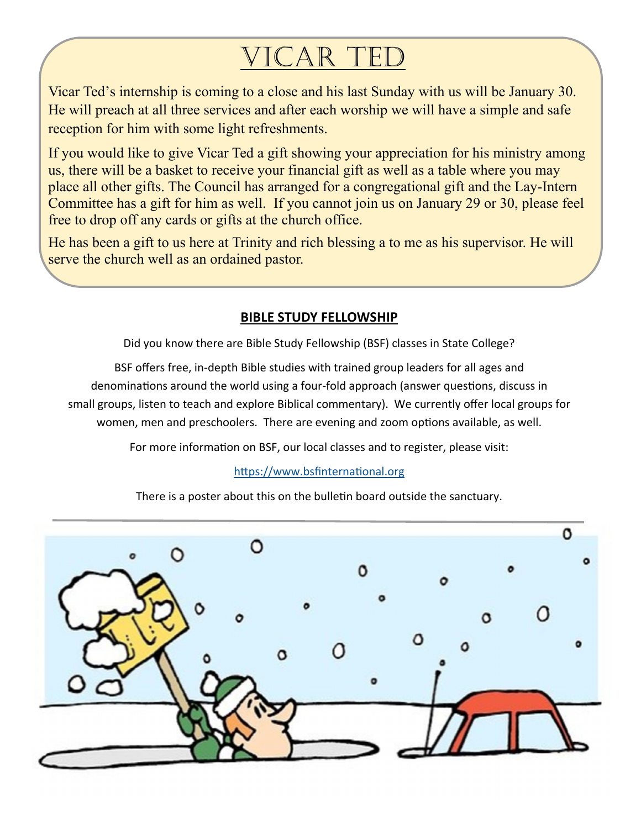# VICAR TED

Vicar Ted's internship is coming to a close and his last Sunday with us will be January 30. He will preach at all three services and after each worship we will have a simple and safe reception for him with some light refreshments.

If you would like to give Vicar Ted a gift showing your appreciation for his ministry among us, there will be a basket to receive your financial gift as well as a table where you may place all other gifts. The Council has arranged for a congregational gift and the Lay-Intern Committee has a gift for him as well. If you cannot join us on January 29 or 30, please feel free to drop off any cards or gifts at the church office.

He has been a gift to us here at Trinity and rich blessing a to me as his supervisor. He will serve the church well as an ordained pastor.

#### **BIBLE STUDY FELLOWSHIP**

Did you know there are Bible Study Fellowship (BSF) classes in State College?

BSF offers free, in‐depth Bible studies with trained group leaders for all ages and denominations around the world using a four-fold approach (answer questions, discuss in small groups, listen to teach and explore Biblical commentary). We currently offer local groups for women, men and preschoolers. There are evening and zoom options available, as well.

For more information on BSF, our local classes and to register, please visit:

#### https://www.bsfinternational.org

There is a poster about this on the bulletin board outside the sanctuary.